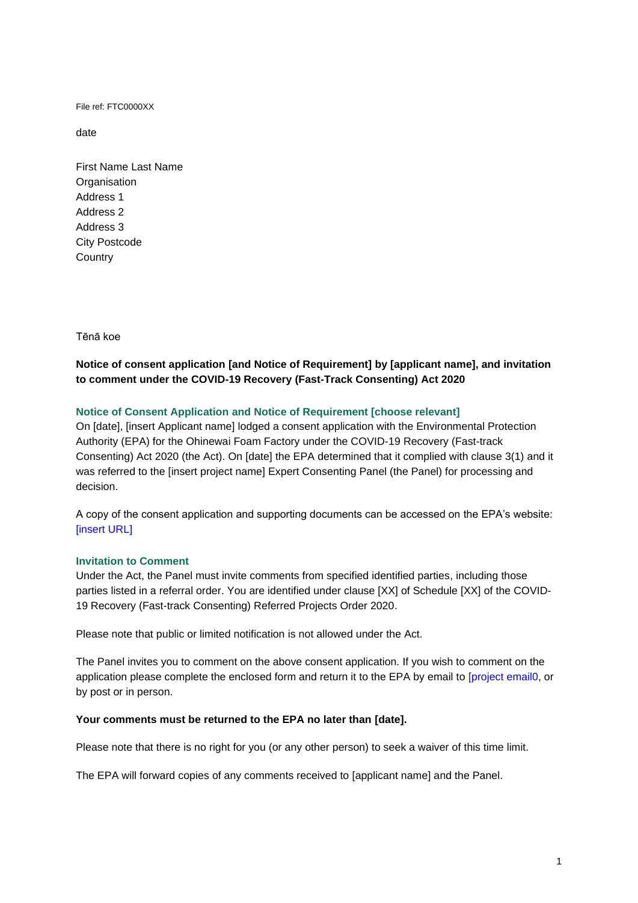File ref: FTC0000XX

date

First Name Last Name **Organisation** Address 1 Address 2 Address 3 City Postcode **Country** 

Tēnā koe

# **Notice of consent application [and Notice of Requirement] by [applicant name], and invitation to comment under the COVID-19 Recovery (Fast-Track Consenting) Act 2020**

## **Notice of Consent Application and Notice of Requirement [choose relevant]**

On [date], [insert Applicant name] lodged a consent application with the Environmental Protection Authority (EPA) for the Ohinewai Foam Factory under the COVID-19 Recovery (Fast-track Consenting) Act 2020 (the Act). On [date] the EPA determined that it complied with clause 3(1) and it was referred to the [insert project name] Expert Consenting Panel (the Panel) for processing and decision.

A copy of the consent application and supporting documents can be accessed on the EPA's website: [insert URL]

### **Invitation to Comment**

Under the Act, the Panel must invite comments from specified identified parties, including those parties listed in a referral order. You are identified under clause [XX] of Schedule [XX] of the COVID-19 Recovery (Fast-track Consenting) Referred Projects Order 2020.

Please note that public or limited notification is not allowed under the Act.

The Panel invites you to comment on the above consent application. If you wish to comment on the application please complete the enclosed form and return it to the EPA by email to [\[project](mailto:foamfactory.fasttrack@epa.govt.nz) email0, or by post or in person.

#### **Your comments must be returned to the EPA no later than [date].**

Please note that there is no right for you (or any other person) to seek a waiver of this time limit.

The EPA will forward copies of any comments received to [applicant name] and the Panel.